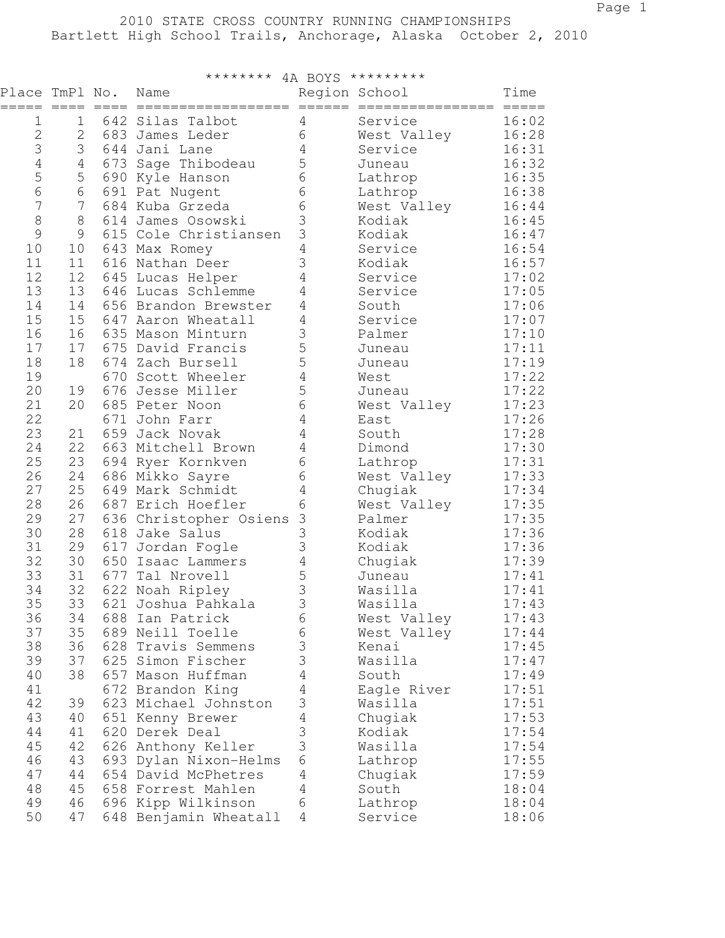| *********<br>********<br>4A BOYS |           |         |                          |                                      |                  |                     |  |  |  |  |
|----------------------------------|-----------|---------|--------------------------|--------------------------------------|------------------|---------------------|--|--|--|--|
| Place TmPl No.<br>=====          | $== == =$ | $=====$ | Name<br>================ | Region School<br>$=$ $=$ $=$ $=$ $=$ | ================ | Time<br>$= = = = =$ |  |  |  |  |
| 1                                | 1         |         | 642 Silas Talbot         | 4                                    | Service          | 16:02               |  |  |  |  |
| $\overline{2}$                   | 2         | 683     | James Leder              | 6                                    | West Valley      | 16:28               |  |  |  |  |
| 3                                | 3         |         | 644 Jani Lane            | 4                                    | Service          | 16:31               |  |  |  |  |
| $\sqrt{4}$                       | 4         | 673     | Sage Thibodeau           | 5                                    | Juneau           | 16:32               |  |  |  |  |
| 5                                | 5         | 690     | Kyle Hanson              | 6                                    | Lathrop          | 16:35               |  |  |  |  |
| $6\phantom{a}$                   | 6         |         | 691 Pat Nugent           | 6                                    | Lathrop          | 16:38               |  |  |  |  |
| 7                                | 7         |         | 684 Kuba Grzeda          | 6                                    | West Valley      | 16:44               |  |  |  |  |
| $\,8\,$                          | $\,8\,$   |         | 614 James Osowski        | 3                                    | Kodiak           | 16:45               |  |  |  |  |
| $\mathcal{G}$                    | 9         | 615     | Cole Christiansen        | 3                                    | Kodiak           | 16:47               |  |  |  |  |
| 10                               | 10        | 643     | Max Romey                | $\overline{4}$                       | Service          | 16:54               |  |  |  |  |
| 11                               | 11        | 616     | Nathan Deer              | 3                                    | Kodiak           | 16:57               |  |  |  |  |
| 12                               | 12        | 645     | Lucas Helper             | 4                                    | Service          | 17:02               |  |  |  |  |
| 13                               | 13        | 646     | Lucas Schlemme           | 4                                    | Service          | 17:05               |  |  |  |  |
| 14                               | 14        | 656     | Brandon Brewster         | 4                                    | South            | 17:06               |  |  |  |  |
| 15                               | 15        | 647     | Aaron Wheatall           | 4                                    | Service          | 17:07               |  |  |  |  |
| 16                               | 16        | 635     | Mason Minturn            | 3                                    | Palmer           | 17:10               |  |  |  |  |
| 17                               | 17        | 675     | David Francis            | 5                                    | Juneau           | 17:11               |  |  |  |  |
| 18                               | 18        |         | 674 Zach Bursell         | 5                                    | Juneau           | 17:19               |  |  |  |  |
| 19                               |           | 670     | Scott Wheeler            | 4                                    | West             | 17:22               |  |  |  |  |
| 20                               | 19        | 676     | Jesse Miller             | 5                                    | Juneau           | 17:22               |  |  |  |  |
| 21                               | 20        | 685     | Peter Noon               | 6                                    | West Valley      | 17:23               |  |  |  |  |
| 22                               |           | 671     | John Farr                | 4                                    | East             | 17:26               |  |  |  |  |
| 23                               | 21        | 659     | Jack Novak               | 4                                    | South            | 17:28               |  |  |  |  |
| 24                               | 22        | 663     | Mitchell Brown           | 4                                    | Dimond           | 17:30               |  |  |  |  |
| 25                               | 23        | 694     | Ryer Kornkven            | 6                                    | Lathrop          | 17:31               |  |  |  |  |
| 26                               | 24        | 686     | Mikko Sayre              | 6                                    | West Valley      | 17:33               |  |  |  |  |
| 27                               | 25        | 649     | Mark Schmidt             | 4                                    | Chugiak          | 17:34               |  |  |  |  |
| 28                               | 26        | 687     | Erich Hoefler            | 6                                    | West Valley      | 17:35               |  |  |  |  |
| 29                               | 27        | 636     | Christopher Osiens       | $\mathfrak{Z}$                       | Palmer           | 17:35               |  |  |  |  |
| 30                               | 28        | 618     | Jake Salus               | 3                                    | Kodiak           | 17:36               |  |  |  |  |
| 31                               | 29        | 617     | Jordan Fogle             | 3                                    | Kodiak           | 17:36               |  |  |  |  |
| 32                               | 30        | 650     | Isaac Lammers            | 4                                    | Chugiak          | 17:39               |  |  |  |  |
| 33                               | 31        | 677     | Tal Nrovell              | 5                                    | Juneau           | 17:41               |  |  |  |  |
| 34                               | 32        | 622     | Noah Ripley              | 3                                    | Wasilla          | 17:41               |  |  |  |  |
| 35                               | 33        | 621     | Joshua Pahkala           | 3                                    | Wasilla          | 17:43               |  |  |  |  |
| 36                               | 34        |         | 688 Ian Patrick          | 6                                    | West Valley      | 17:43               |  |  |  |  |
| 37                               | 35        |         | 689 Neill Toelle         | 6                                    | West Valley      | 17:44               |  |  |  |  |
| 38                               | 36        |         | 628 Travis Semmens       | 3                                    | Kenai            | 17:45               |  |  |  |  |
| 39                               | 37        |         | 625 Simon Fischer        | 3                                    | Wasilla          | 17:47               |  |  |  |  |
| 40                               | 38        | 657     | Mason Huffman            | $\overline{4}$                       | South            | 17:49               |  |  |  |  |
| 41                               |           |         | 672 Brandon King         | $\overline{4}$                       | Eagle River      | 17:51               |  |  |  |  |
| 42                               | 39        |         | 623 Michael Johnston     | 3                                    | Wasilla          | 17:51               |  |  |  |  |
| 43                               | 40        |         | 651 Kenny Brewer         | $\overline{4}$                       | Chugiak          | 17:53               |  |  |  |  |
| 44                               | 41        |         | 620 Derek Deal           | 3                                    | Kodiak           | 17:54               |  |  |  |  |
| 45                               | 42        |         | 626 Anthony Keller       | 3                                    | Wasilla          | 17:54               |  |  |  |  |
| 46                               | 43        |         | 693 Dylan Nixon-Helms    | 6                                    | Lathrop          | 17:55               |  |  |  |  |
| 47                               | 44        |         | 654 David McPhetres      | 4                                    | Chugiak          | 17:59               |  |  |  |  |
| 48                               | 45        |         | 658 Forrest Mahlen       | $\overline{4}$                       | South            | 18:04               |  |  |  |  |
| 49                               | 46        | 696     | Kipp Wilkinson           | 6                                    | Lathrop          | 18:04               |  |  |  |  |
| 50                               | 47        |         | 648 Benjamin Wheatall    | 4                                    | Service          | 18:06               |  |  |  |  |